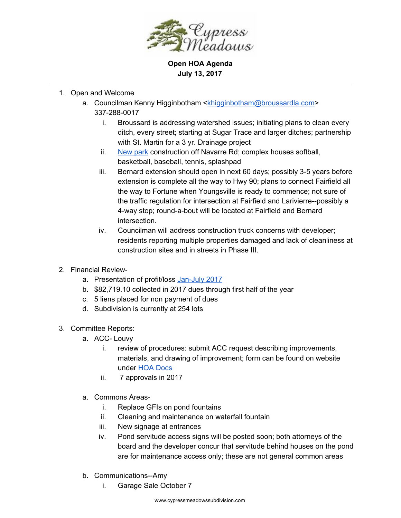

**Open HOA Agenda July 13, 2017**

- 1. Open and Welcome
	- a. Councilman Kenny Higginbotham [<khigginbotham@broussardla.com>](mailto:khigginbotham@broussardla.com) 337-288-0017
		- i. Broussard is addressing watershed issues; initiating plans to clean every ditch, every street; starting at Sugar Trace and larger ditches; partnership with St. Martin for a 3 yr. Drainage project
		- ii. [New](http://www.broussardrec.com/) park construction off Navarre Rd; complex houses softball, basketball, baseball, tennis, splashpad
		- iii. Bernard extension should open in next 60 days; possibly 3-5 years before extension is complete all the way to Hwy 90; plans to connect Fairfield all the way to Fortune when Youngsville is ready to commence; not sure of the traffic regulation for intersection at Fairfield and Larivierre--possibly a 4-way stop; round-a-bout will be located at Fairfield and Bernard intersection.
		- iv. Councilman will address construction truck concerns with developer; residents reporting multiple properties damaged and lack of cleanliness at construction sites and in streets in Phase III.
- 2. Financial Review-
	- a. Presentation of profit/loss [Jan-July](https://drive.google.com/file/d/0BxGWMXC4fyRka3VtX282Y3lncDQ/view?usp=sharing) 2017
	- b. \$82,719.10 collected in 2017 dues through first half of the year
	- c. 5 liens placed for non payment of dues
	- d. Subdivision is currently at 254 lots
- 3. Committee Reports:
	- a. ACC- Louvy
		- i. review of procedures: submit ACC request describing improvements, materials, and drawing of improvement; form can be found on website under HOA [Docs](http://www.cypressmeadowssubdivision.com/hoa-docs/)
		- ii. 7 approvals in 2017
	- a. Commons Areas
		- i. Replace GFIs on pond fountains
		- ii. Cleaning and maintenance on waterfall fountain
		- iii. New signage at entrances
		- iv. Pond servitude access signs will be posted soon; both attorneys of the board and the developer concur that servitude behind houses on the pond are for maintenance access only; these are not general common areas
	- b. Communications--Amy
		- i. Garage Sale October 7